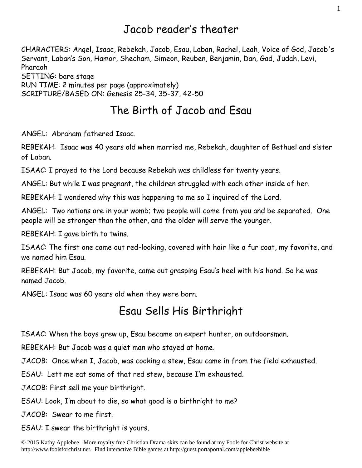#### Jacob reader's theater

CHARACTERS: Angel, Isaac, Rebekah, Jacob, Esau, Laban, Rachel, Leah, Voice of God, Jacob's Servant, Laban's Son, Hamor, Shecham, Simeon, Reuben, Benjamin, Dan, Gad, Judah, Levi, Pharaoh SETTING: bare stage RUN TIME: 2 minutes per page (approximately) SCRIPTURE/BASED ON: Genesis 25-34, 35-37, 42-50

#### The Birth of Jacob and Esau

ANGEL: Abraham fathered Isaac.

REBEKAH: Isaac was 40 years old when married me, Rebekah, daughter of Bethuel and sister of Laban.

ISAAC: I prayed to the Lord because Rebekah was childless for twenty years.

ANGEL: But while I was pregnant, the children struggled with each other inside of her.

REBEKAH: I wondered why this was happening to me so I inquired of the Lord.

ANGEL: Two nations are in your womb; two people will come from you and be separated. One people will be stronger than the other, and the older will serve the younger.

REBEKAH: I gave birth to twins.

ISAAC: The first one came out red-looking, covered with hair like a fur coat, my favorite, and we named him Esau.

REBEKAH: But Jacob, my favorite, came out grasping Esau's heel with his hand. So he was named Jacob.

ANGEL: Isaac was 60 years old when they were born.

#### Esau Sells His Birthright

ISAAC: When the boys grew up, Esau became an expert hunter, an outdoorsman.

REBEKAH: But Jacob was a quiet man who stayed at home.

JACOB: Once when I, Jacob, was cooking a stew, Esau came in from the field exhausted.

ESAU: Lett me eat some of that red stew, because I'm exhausted.

JACOB: First sell me your birthright.

ESAU: Look, I'm about to die, so what good is a birthright to me?

JACOB: Swear to me first.

ESAU: I swear the birthright is yours.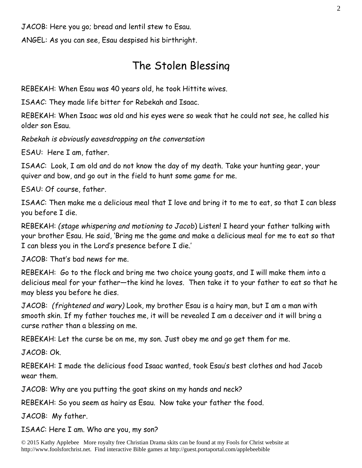JACOB: Here you go; bread and lentil stew to Esau.

ANGEL: As you can see, Esau despised his birthright.

### The Stolen Blessing

REBEKAH: When Esau was 40 years old, he took Hittite wives.

ISAAC: They made life bitter for Rebekah and Isaac.

REBEKAH: When Isaac was old and his eyes were so weak that he could not see, he called his older son Esau.

*Rebekah is obviously eavesdropping on the conversation*

ESAU: Here I am, father.

ISAAC: Look, I am old and do not know the day of my death. Take your hunting gear, your quiver and bow, and go out in the field to hunt some game for me.

ESAU: Of course, father.

ISAAC: Then make me a delicious meal that I love and bring it to me to eat, so that I can bless you before I die.

REBEKAH: *(stage whispering and motioning to Jacob*) Listen! I heard your father talking with your brother Esau. He said, 'Bring me the game and make a delicious meal for me to eat so that I can bless you in the Lord's presence before I die.'

JACOB: That's bad news for me.

REBEKAH: Go to the flock and bring me two choice young goats, and I will make them into a delicious meal for your father—the kind he loves. Then take it to your father to eat so that he may bless you before he dies.

JACOB: *(frightened and wary)* Look, my brother Esau is a hairy man, but I am a man with smooth skin. If my father touches me, it will be revealed I am a deceiver and it will bring a curse rather than a blessing on me.

REBEKAH: Let the curse be on me, my son. Just obey me and go get them for me.

JACOB: Ok.

REBEKAH: I made the delicious food Isaac wanted, took Esau's best clothes and had Jacob wear them.

JACOB: Why are you putting the goat skins on my hands and neck?

REBEKAH: So you seem as hairy as Esau. Now take your father the food.

JACOB: My father.

ISAAC: Here I am. Who are you, my son?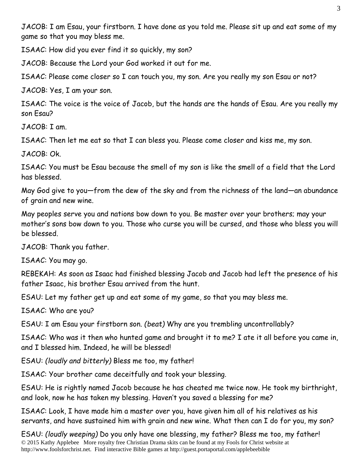JACOB: I am Esau, your firstborn. I have done as you told me. Please sit up and eat some of my game so that you may bless me.

ISAAC: How did you ever find it so quickly, my son?

JACOB: Because the Lord your God worked it out for me.

ISAAC: Please come closer so I can touch you, my son. Are you really my son Esau or not?

JACOB: Yes, I am your son.

ISAAC: The voice is the voice of Jacob, but the hands are the hands of Esau. Are you really my son Esau?

JACOB: I am.

ISAAC: Then let me eat so that I can bless you. Please come closer and kiss me, my son.

JACOB: Ok.

ISAAC: You must be Esau because the smell of my son is like the smell of a field that the Lord has blessed.

May God give to you—from the dew of the sky and from the richness of the land—an abundance of grain and new wine.

May peoples serve you and nations bow down to you. Be master over your brothers; may your mother's sons bow down to you. Those who curse you will be cursed, and those who bless you will be blessed.

JACOB: Thank you father.

ISAAC: You may go.

REBEKAH: As soon as Isaac had finished blessing Jacob and Jacob had left the presence of his father Isaac, his brother Esau arrived from the hunt.

ESAU: Let my father get up and eat some of my game, so that you may bless me.

ISAAC: Who are you?

ESAU: I am Esau your firstborn son. *(beat)* Why are you trembling uncontrollably?

ISAAC: Who was it then who hunted game and brought it to me? I ate it all before you came in, and I blessed him. Indeed, he will be blessed!

ESAU: *(loudly and bitterly)* Bless me too, my father!

ISAAC: Your brother came deceitfully and took your blessing.

ESAU: He is rightly named Jacob because he has cheated me twice now. He took my birthright, and look, now he has taken my blessing. Haven't you saved a blessing for me?

ISAAC: Look, I have made him a master over you, have given him all of his relatives as his servants, and have sustained him with grain and new wine. What then can I do for you, my son?

© 2015 Kathy Applebee More royalty free Christian Drama skits can be found at my Fools for Christ website at http://www.foolsforchrist.net. Find interactive Bible games at http://guest.portaportal.com/applebeebible ESAU: *(loudly weeping)* Do you only have one blessing, my father? Bless me too, my father!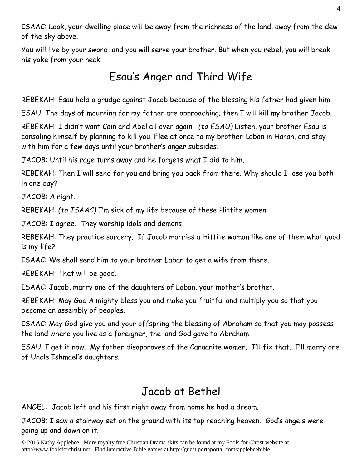ISAAC: Look, your dwelling place will be away from the richness of the land, away from the dew of the sky above.

You will live by your sword, and you will serve your brother. But when you rebel, you will break his yoke from your neck.

## Esau's Anger and Third Wife

REBEKAH: Esau held a grudge against Jacob because of the blessing his father had given him.

ESAU: The days of mourning for my father are approaching; then I will kill my brother Jacob.

REBEKAH: I didn't want Cain and Abel all over again. *(to ESAU)* Listen, your brother Esau is consoling himself by planning to kill you. Flee at once to my brother Laban in Haran, and stay with him for a few days until your brother's anger subsides.

JACOB: Until his rage turns away and he forgets what I did to him.

REBEKAH: Then I will send for you and bring you back from there. Why should I lose you both in one day?

JACOB: Alright.

REBEKAH: *(to ISAAC)* I'm sick of my life because of these Hittite women.

JACOB: I agree. They worship idols and demons.

REBEKAH: They practice sorcery. If Jacob marries a Hittite woman like one of them what good is my life?

ISAAC: We shall send him to your brother Laban to get a wife from there.

REBEKAH: That will be good.

ISAAC: Jacob, marry one of the daughters of Laban, your mother's brother.

REBEKAH: May God Almighty bless you and make you fruitful and multiply you so that you become an assembly of peoples.

ISAAC: May God give you and your offspring the blessing of Abraham so that you may possess the land where you live as a foreigner, the land God gave to Abraham.

ESAU: I get it now. My father disapproves of the Canaanite women. I'll fix that. I'll marry one of Uncle Ishmael's daughters.

## Jacob at Bethel

ANGEL: Jacob left and his first night away from home he had a dream.

JACOB: I saw a stairway set on the ground with its top reaching heaven. God's angels were going up and down on it.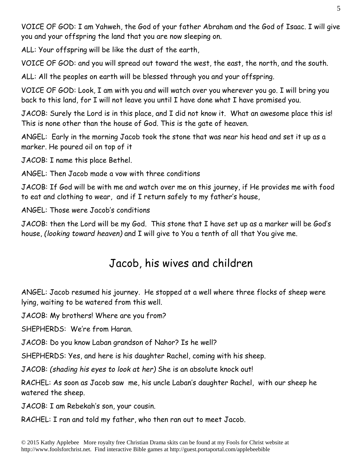VOICE OF GOD: I am Yahweh, the God of your father Abraham and the God of Isaac. I will give you and your offspring the land that you are now sleeping on.

ALL: Your offspring will be like the dust of the earth,

VOICE OF GOD: and you will spread out toward the west, the east, the north, and the south.

ALL: All the peoples on earth will be blessed through you and your offspring.

VOICE OF GOD: Look, I am with you and will watch over you wherever you go. I will bring you back to this land, for I will not leave you until I have done what I have promised you.

JACOB: Surely the Lord is in this place, and I did not know it. What an awesome place this is! This is none other than the house of God. This is the gate of heaven.

ANGEL: Early in the morning Jacob took the stone that was near his head and set it up as a marker. He poured oil on top of it

JACOB: I name this place Bethel.

ANGEL: Then Jacob made a vow with three conditions

JACOB: If God will be with me and watch over me on this journey, if He provides me with food to eat and clothing to wear, and if I return safely to my father's house,

ANGEL: Those were Jacob's conditions

JACOB: then the Lord will be my God. This stone that I have set up as a marker will be God's house, *(looking toward heaven)* and I will give to You a tenth of all that You give me.

## Jacob, his wives and children

ANGEL: Jacob resumed his journey. He stopped at a well where three flocks of sheep were lying, waiting to be watered from this well.

JACOB: My brothers! Where are you from?

SHEPHERDS: We're from Haran.

JACOB: Do you know Laban grandson of Nahor? Is he well?

SHEPHERDS: Yes, and here is his daughter Rachel, coming with his sheep.

JACOB: *(shading his eyes to look at her)* She is an absolute knock out!

RACHEL: As soon as Jacob saw me, his uncle Laban's daughter Rachel, with our sheep he watered the sheep.

JACOB: I am Rebekah's son, your cousin.

RACHEL: I ran and told my father, who then ran out to meet Jacob.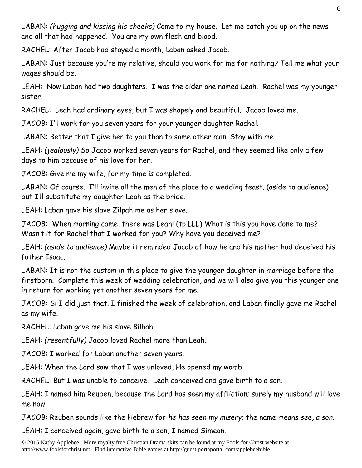LABAN: *(hugging and kissing his cheeks)* Come to my house. Let me catch you up on the news and all that had happened. You are my own flesh and blood.

RACHEL: After Jacob had stayed a month, Laban asked Jacob.

LABAN: Just because you're my relative, should you work for me for nothing? Tell me what your wages should be.

LEAH: Now Laban had two daughters. I was the older one named Leah. Rachel was my younger sister.

RACHEL: Leah had ordinary eyes, but I was shapely and beautiful. Jacob loved me.

JACOB: I'll work for you seven years for your younger daughter Rachel.

LABAN: Better that I give her to you than to some other man. Stay with me.

LEAH: *(jealously)* So Jacob worked seven years for Rachel, and they seemed like only a few days to him because of his love for her.

JACOB: Give me my wife, for my time is completed.

LABAN: Of course. I'll invite all the men of the place to a wedding feast. (aside to audience) but I'll substitute my daughter Leah as the bride.

LEAH: Laban gave his slave Zilpah me as her slave.

JACOB: When morning came, there was Leah! (tp LLL) What is this you have done to me? Wasn't it for Rachel that I worked for you? Why have you deceived me?

LEAH: *(aside to audience)* Maybe it reminded Jacob of how he and his mother had deceived his father Isaac.

LABAN: It is not the custom in this place to give the younger daughter in marriage before the firstborn. Complete this week of wedding celebration, and we will also give you this younger one in return for working yet another seven years for me.

JACOB: Si I did just that. I finished the week of celebration, and Laban finally gave me Rachel as my wife.

RACHEL: Laban gave me his slave Bilhah

LEAH: *(resentfully)* Jacob loved Rachel more than Leah.

JACOB: I worked for Laban another seven years.

LEAH: When the Lord saw that I was unloved, He opened my womb

RACHEL: But I was unable to conceive. Leah conceived and gave birth to a son.

LEAH: I named him Reuben, because the Lord has seen my affliction; surely my husband will love me now.

JACOB: Reuben sounds like the Hebrew for *he has seen my misery*; the name means *see, a son*.

LEAH: I conceived again, gave birth to a son, I named Simeon.

© 2015 Kathy Applebee More royalty free Christian Drama skits can be found at my Fools for Christ website at http://www.foolsforchrist.net. Find interactive Bible games at http://guest.portaportal.com/applebeebible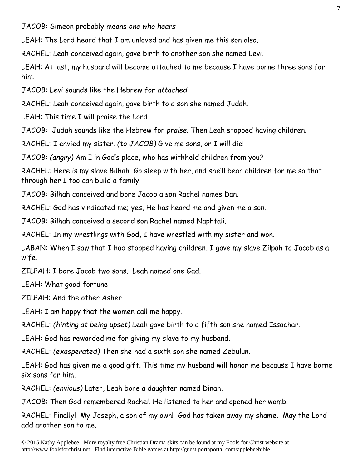JACOB: Simeon probably means *one who hears*

LEAH: The Lord heard that I am unloved and has given me this son also.

RACHEL: Leah conceived again, gave birth to another son she named Levi.

LEAH: At last, my husband will become attached to me because I have borne three sons for him.

JACOB: Levi sounds like the Hebrew for *attached.*

RACHEL: Leah conceived again, gave birth to a son she named Judah.

LEAH: This time I will praise the Lord.

JACOB: Judah sounds like the Hebrew for *praise.* Then Leah stopped having children.

RACHEL: I envied my sister. *(to JACOB)* Give me sons, or I will die!

JACOB: *(angry)* Am I in God's place, who has withheld children from you?

RACHEL: Here is my slave Bilhah. Go sleep with her, and she'll bear children for me so that through her I too can build a family

JACOB: Bilhah conceived and bore Jacob a son Rachel names Dan.

RACHEL: God has vindicated me; yes, He has heard me and given me a son.

JACOB: Bilhah conceived a second son Rachel named Naphtali.

RACHEL: In my wrestlings with God, I have wrestled with my sister and won.

LABAN: When I saw that I had stopped having children, I gave my slave Zilpah to Jacob as a wife.

ZILPAH: I bore Jacob two sons. Leah named one Gad.

LEAH: What good fortune

ZILPAH: And the other Asher.

LEAH: I am happy that the women call me happy.

RACHEL: *(hinting at being upset)* Leah gave birth to a fifth son she named Issachar.

LEAH: God has rewarded me for giving my slave to my husband.

RACHEL: *(exasperated)* Then she had a sixth son she named Zebulun.

LEAH: God has given me a good gift. This time my husband will honor me because I have borne six sons for him.

RACHEL: *(envious)* Later, Leah bore a daughter named Dinah.

JACOB: Then God remembered Rachel. He listened to her and opened her womb.

RACHEL: Finally! My Joseph, a son of my own! God has taken away my shame. May the Lord add another son to me.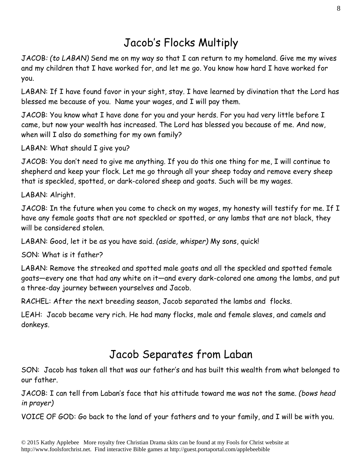## Jacob's Flocks Multiply

JACOB*: (to LABAN)* Send me on my way so that I can return to my homeland. Give me my wives and my children that I have worked for, and let me go. You know how hard I have worked for you.

LABAN: If I have found favor in your sight, stay. I have learned by divination that the Lord has blessed me because of you. Name your wages, and I will pay them.

JACOB: You know what I have done for you and your herds. For you had very little before I came, but now your wealth has increased. The Lord has blessed you because of me. And now, when will I also do something for my own family?

LABAN: What should I give you?

JACOB: You don't need to give me anything. If you do this one thing for me, I will continue to shepherd and keep your flock. Let me go through all your sheep today and remove every sheep that is speckled, spotted, or dark-colored sheep and goats. Such will be my wages.

LABAN: Alright.

JACOB: In the future when you come to check on my wages, my honesty will testify for me. If I have any female goats that are not speckled or spotted, or any lambs that are not black, they will be considered stolen.

LABAN: Good, let it be as you have said. *(aside, whisper)* My sons, quick!

SON: What is it father?

LABAN: Remove the streaked and spotted male goats and all the speckled and spotted female goats—every one that had any white on it—and every dark-colored one among the lambs, and put a three-day journey between yourselves and Jacob.

RACHEL: After the next breeding season, Jacob separated the lambs and flocks.

LEAH: Jacob became very rich. He had many flocks, male and female slaves, and camels and donkeys.

### Jacob Separates from Laban

SON: Jacob has taken all that was our father's and has built this wealth from what belonged to our father.

JACOB: I can tell from Laban's face that his attitude toward me was not the same. *(bows head in prayer)* 

VOICE OF GOD: Go back to the land of your fathers and to your family, and I will be with you.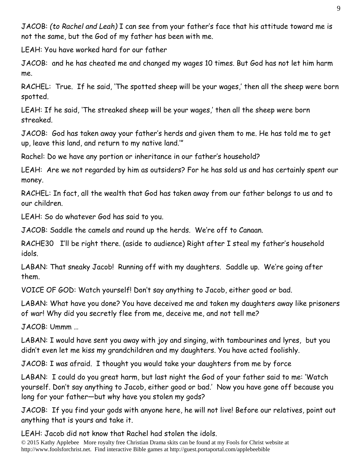JACOB: *(to Rachel and Leah)* I can see from your father's face that his attitude toward me is not the same, but the God of my father has been with me.

LEAH: You have worked hard for our father

JACOB: and he has cheated me and changed my wages 10 times. But God has not let him harm me.

RACHEL: True. If he said, 'The spotted sheep will be your wages,' then all the sheep were born spotted.

LEAH: If he said, 'The streaked sheep will be your wages,' then all the sheep were born streaked.

JACOB: God has taken away your father's herds and given them to me. He has told me to get up, leave this land, and return to my native land.'"

Rachel: Do we have any portion or inheritance in our father's household?

LEAH: Are we not regarded by him as outsiders? For he has sold us and has certainly spent our money.

RACHEL: In fact, all the wealth that God has taken away from our father belongs to us and to our children.

LEAH: So do whatever God has said to you.

JACOB: Saddle the camels and round up the herds. We're off to Canaan.

RACHE30 I'll be right there. (aside to audience) Right after I steal my father's household idols.

LABAN: That sneaky Jacob! Running off with my daughters. Saddle up. We're going after them.

VOICE OF GOD: Watch yourself! Don't say anything to Jacob, either good or bad.

LABAN: What have you done? You have deceived me and taken my daughters away like prisoners of war! Why did you secretly flee from me, deceive me, and not tell me?

JACOB: Ummm …

LABAN: I would have sent you away with joy and singing, with tambourines and lyres, but you didn't even let me kiss my grandchildren and my daughters. You have acted foolishly.

JACOB: I was afraid. I thought you would take your daughters from me by force

LABAN: I could do you great harm, but last night the God of your father said to me: 'Watch yourself. Don't say anything to Jacob, either good or bad.' Now you have gone off because you long for your father—but why have you stolen my gods?

JACOB: If you find your gods with anyone here, he will not live! Before our relatives, point out anything that is yours and take it.

LEAH: Jacob did not know that Rachel had stolen the idols.

© 2015 Kathy Applebee More royalty free Christian Drama skits can be found at my Fools for Christ website at http://www.foolsforchrist.net. Find interactive Bible games at http://guest.portaportal.com/applebeebible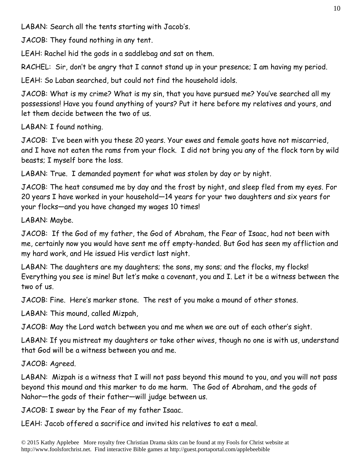LABAN: Search all the tents starting with Jacob's.

JACOB: They found nothing in any tent.

LEAH: Rachel hid the gods in a saddlebag and sat on them.

RACHEL: Sir, don't be angry that I cannot stand up in your presence; I am having my period.

LEAH: So Laban searched, but could not find the household idols.

JACOB: What is my crime? What is my sin, that you have pursued me? You've searched all my possessions! Have you found anything of yours? Put it here before my relatives and yours, and let them decide between the two of us.

LABAN: I found nothing.

JACOB: I've been with you these 20 years. Your ewes and female goats have not miscarried, and I have not eaten the rams from your flock. I did not bring you any of the flock torn by wild beasts; I myself bore the loss.

LABAN: True. I demanded payment for what was stolen by day or by night.

JACOB: The heat consumed me by day and the frost by night, and sleep fled from my eyes. For 20 years I have worked in your household—14 years for your two daughters and six years for your flocks—and you have changed my wages 10 times!

LABAN: Maybe.

JACOB: If the God of my father, the God of Abraham, the Fear of Isaac, had not been with me, certainly now you would have sent me off empty-handed. But God has seen my affliction and my hard work, and He issued His verdict last night.

LABAN: The daughters are my daughters; the sons, my sons; and the flocks, my flocks! Everything you see is mine! But let's make a covenant, you and I. Let it be a witness between the two of us.

JACOB: Fine. Here's marker stone. The rest of you make a mound of other stones.

LABAN: This mound, called Mizpah,

JACOB: May the Lord watch between you and me when we are out of each other's sight.

LABAN: If you mistreat my daughters or take other wives, though no one is with us, understand that God will be a witness between you and me.

JACOB: Agreed.

LABAN: Mizpah is a witness that I will not pass beyond this mound to you, and you will not pass beyond this mound and this marker to do me harm. The God of Abraham, and the gods of Nahor—the gods of their father—will judge between us.

JACOB: I swear by the Fear of my father Isaac.

LEAH: Jacob offered a sacrifice and invited his relatives to eat a meal.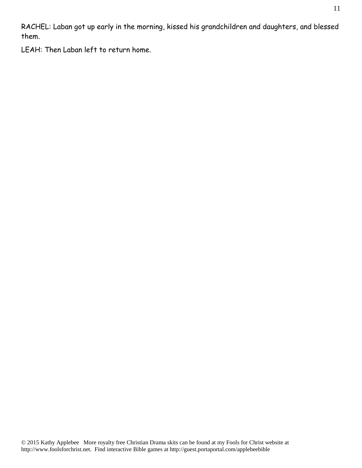RACHEL: Laban got up early in the morning, kissed his grandchildren and daughters, and blessed them.

LEAH: Then Laban left to return home.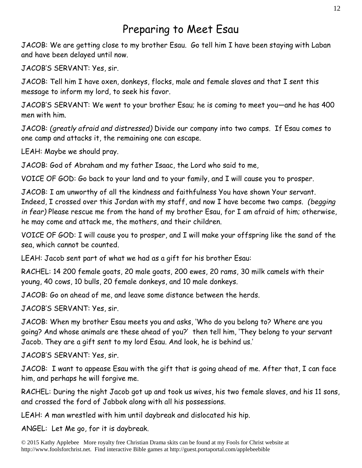#### Preparing to Meet Esau

JACOB: We are getting close to my brother Esau. Go tell him I have been staying with Laban and have been delayed until now.

JACOB'S SERVANT: Yes, sir.

JACOB: Tell him I have oxen, donkeys, flocks, male and female slaves and that I sent this message to inform my lord, to seek his favor.

JACOB'S SERVANT: We went to your brother Esau; he is coming to meet you—and he has 400 men with him.

JACOB: *(greatly afraid and distressed)* Divide our company into two camps. If Esau comes to one camp and attacks it, the remaining one can escape.

LEAH: Maybe we should pray.

JACOB: God of Abraham and my father Isaac, the Lord who said to me,

VOICE OF GOD: Go back to your land and to your family, and I will cause you to prosper.

JACOB: I am unworthy of all the kindness and faithfulness You have shown Your servant. Indeed, I crossed over this Jordan with my staff, and now I have become two camps. *(begging in fear)* Please rescue me from the hand of my brother Esau, for I am afraid of him; otherwise, he may come and attack me, the mothers, and their children.

VOICE OF GOD: I will cause you to prosper, and I will make your offspring like the sand of the sea, which cannot be counted.

LEAH: Jacob sent part of what we had as a gift for his brother Esau:

RACHEL: 14 200 female goats, 20 male goats, 200 ewes, 20 rams, 30 milk camels with their young, 40 cows, 10 bulls, 20 female donkeys, and 10 male donkeys.

JACOB: Go on ahead of me, and leave some distance between the herds.

JACOB'S SERVANT: Yes, sir.

JACOB: When my brother Esau meets you and asks, 'Who do you belong to? Where are you going? And whose animals are these ahead of you?' then tell him, 'They belong to your servant Jacob. They are a gift sent to my lord Esau. And look, he is behind us.'

JACOB'S SERVANT: Yes, sir.

JACOB: I want to appease Esau with the gift that is going ahead of me. After that, I can face him, and perhaps he will forgive me.

RACHEL: During the night Jacob got up and took us wives, his two female slaves, and his 11 sons, and crossed the ford of Jabbok along with all his possessions.

LEAH: A man wrestled with him until daybreak and dislocated his hip.

ANGEL: Let Me go, for it is daybreak.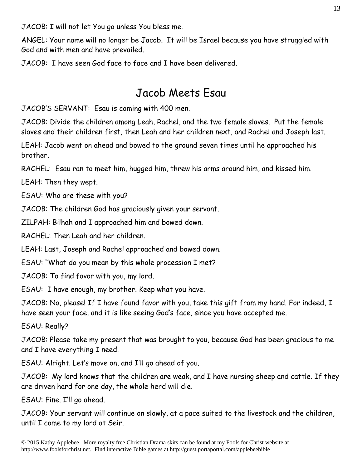JACOB: I will not let You go unless You bless me.

ANGEL: Your name will no longer be Jacob. It will be Israel because you have struggled with God and with men and have prevailed.

JACOB: I have seen God face to face and I have been delivered.

#### Jacob Meets Esau

JACOB'S SERVANT: Esau is coming with 400 men.

JACOB: Divide the children among Leah, Rachel, and the two female slaves. Put the female slaves and their children first, then Leah and her children next, and Rachel and Joseph last.

LEAH: Jacob went on ahead and bowed to the ground seven times until he approached his brother.

RACHEL: Esau ran to meet him, hugged him, threw his arms around him, and kissed him.

LEAH: Then they wept.

ESAU: Who are these with you?

JACOB: The children God has graciously given your servant.

ZILPAH: Bilhah and I approached him and bowed down.

RACHEL: Then Leah and her children.

LEAH: Last, Joseph and Rachel approached and bowed down.

ESAU: "What do you mean by this whole procession I met?

JACOB: To find favor with you, my lord.

ESAU: I have enough, my brother. Keep what you have.

JACOB: No, please! If I have found favor with you, take this gift from my hand. For indeed, I have seen your face, and it is like seeing God's face, since you have accepted me.

ESAU: Really?

JACOB: Please take my present that was brought to you, because God has been gracious to me and I have everything I need.

ESAU: Alright. Let's move on, and I'll go ahead of you.

JACOB: My lord knows that the children are weak, and I have nursing sheep and cattle. If they are driven hard for one day, the whole herd will die.

ESAU: Fine. I'll go ahead.

JACOB: Your servant will continue on slowly, at a pace suited to the livestock and the children, until I come to my lord at Seir.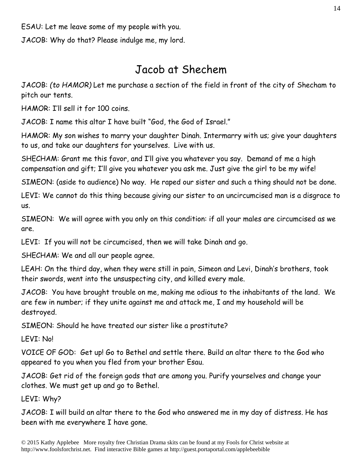ESAU: Let me leave some of my people with you.

JACOB: Why do that? Please indulge me, my lord.

### Jacob at Shechem

JACOB: *(to HAMOR)* Let me purchase a section of the field in front of the city of Shecham to pitch our tents.

HAMOR: I'll sell it for 100 coins.

JACOB: I name this altar I have built "God, the God of Israel."

HAMOR: My son wishes to marry your daughter Dinah. Intermarry with us; give your daughters to us, and take our daughters for yourselves. Live with us.

SHECHAM: Grant me this favor, and I'll give you whatever you say. Demand of me a high compensation and gift; I'll give you whatever you ask me. Just give the girl to be my wife!

SIMEON: (aside to audience) No way. He raped our sister and such a thing should not be done.

LEVI: We cannot do this thing because giving our sister to an uncircumcised man is a disgrace to us.

SIMEON: We will agree with you only on this condition: if all your males are circumcised as we are.

LEVI: If you will not be circumcised, then we will take Dinah and go.

SHECHAM: We and all our people agree.

LEAH: On the third day, when they were still in pain, Simeon and Levi, Dinah's brothers, took their swords, went into the unsuspecting city, and killed every male.

JACOB: You have brought trouble on me, making me odious to the inhabitants of the land. We are few in number; if they unite against me and attack me, I and my household will be destroyed.

SIMEON: Should he have treated our sister like a prostitute?

LEVI: No!

VOICE OF GOD: Get up! Go to Bethel and settle there. Build an altar there to the God who appeared to you when you fled from your brother Esau.

JACOB: Get rid of the foreign gods that are among you. Purify yourselves and change your clothes. We must get up and go to Bethel.

LEVI: Why?

JACOB: I will build an altar there to the God who answered me in my day of distress. He has been with me everywhere I have gone.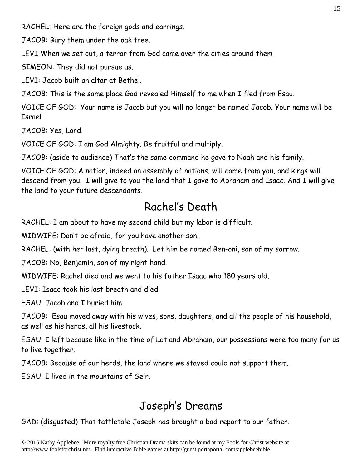RACHEL: Here are the foreign gods and earrings.

JACOB: Bury them under the oak tree.

LEVI When we set out, a terror from God came over the cities around them

SIMEON: They did not pursue us.

LEVI: Jacob built an altar at Bethel.

JACOB: This is the same place God revealed Himself to me when I fled from Esau.

VOICE OF GOD: Your name is Jacob but you will no longer be named Jacob. Your name will be Israel.

JACOB: Yes, Lord.

VOICE OF GOD: I am God Almighty. Be fruitful and multiply.

JACOB: (aside to audience) That's the same command he gave to Noah and his family.

VOICE OF GOD: A nation, indeed an assembly of nations, will come from you, and kings will descend from you. I will give to you the land that I gave to Abraham and Isaac. And I will give the land to your future descendants.

## Rachel's Death

RACHEL: I am about to have my second child but my labor is difficult.

MIDWIFE: Don't be afraid, for you have another son.

RACHEL: (with her last, dying breath). Let him be named Ben-oni, son of my sorrow.

JACOB: No, Benjamin, son of my right hand.

MIDWIFE: Rachel died and we went to his father Isaac who 180 years old.

LEVI: Isaac took his last breath and died.

ESAU: Jacob and I buried him.

JACOB: Esau moved away with his wives, sons, daughters, and all the people of his household, as well as his herds, all his livestock.

ESAU: I left because like in the time of Lot and Abraham, our possessions were too many for us to live together.

JACOB: Because of our herds, the land where we stayed could not support them.

ESAU: I lived in the mountains of Seir.

## Joseph's Dreams

GAD: (disgusted) That tattletale Joseph has brought a bad report to our father.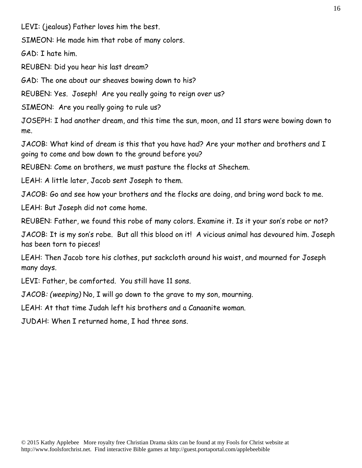LEVI: (jealous) Father loves him the best.

SIMEON: He made him that robe of many colors.

GAD: I hate him.

REUBEN: Did you hear his last dream?

GAD: The one about our sheaves bowing down to his?

REUBEN: Yes. Joseph! Are you really going to reign over us?

SIMEON: Are you really going to rule us?

JOSEPH: I had another dream, and this time the sun, moon, and 11 stars were bowing down to me.

JACOB: What kind of dream is this that you have had? Are your mother and brothers and I going to come and bow down to the ground before you?

REUBEN: Come on brothers, we must pasture the flocks at Shechem.

LEAH: A little later, Jacob sent Joseph to them.

JACOB: Go and see how your brothers and the flocks are doing, and bring word back to me.

LEAH: But Joseph did not come home.

REUBEN: Father, we found this robe of many colors. Examine it. Is it your son's robe or not?

JACOB: It is my son's robe. But all this blood on it! A vicious animal has devoured him. Joseph has been torn to pieces!

LEAH: Then Jacob tore his clothes, put sackcloth around his waist, and mourned for Joseph many days.

LEVI: Father, be comforted. You still have 11 sons.

JACOB*: (weeping)* No, I will go down to the grave to my son, mourning.

LEAH: At that time Judah left his brothers and a Canaanite woman.

JUDAH: When I returned home, I had three sons.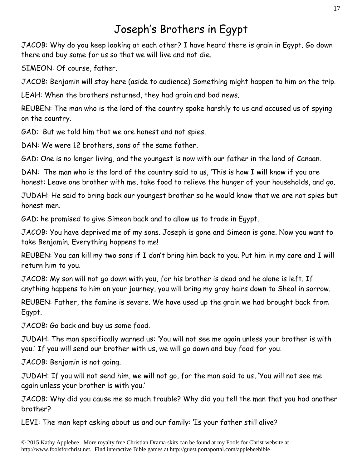## Joseph's Brothers in Egypt

JACOB: Why do you keep looking at each other? I have heard there is grain in Egypt. Go down there and buy some for us so that we will live and not die.

SIMEON: Of course, father.

JACOB: Benjamin will stay here (aside to audience) Something might happen to him on the trip.

LEAH: When the brothers returned, they had grain and bad news.

REUBEN: The man who is the lord of the country spoke harshly to us and accused us of spying on the country.

GAD: But we told him that we are honest and not spies.

DAN: We were 12 brothers, sons of the same father.

GAD: One is no longer living, and the youngest is now with our father in the land of Canaan.

DAN: The man who is the lord of the country said to us, 'This is how I will know if you are honest: Leave one brother with me, take food to relieve the hunger of your households, and go.

JUDAH: He said to bring back our youngest brother so he would know that we are not spies but honest men.

GAD: he promised to give Simeon back and to allow us to trade in Egypt.

JACOB: You have deprived me of my sons. Joseph is gone and Simeon is gone. Now you want to take Benjamin. Everything happens to me!

REUBEN: You can kill my two sons if I don't bring him back to you. Put him in my care and I will return him to you.

JACOB: My son will not go down with you, for his brother is dead and he alone is left. If anything happens to him on your journey, you will bring my gray hairs down to Sheol in sorrow.

REUBEN: Father, the famine is severe. We have used up the grain we had brought back from Egypt.

JACOB: Go back and buy us some food.

JUDAH: The man specifically warned us: 'You will not see me again unless your brother is with you.' If you will send our brother with us, we will go down and buy food for you.

JACOB: Benjamin is not going.

JUDAH: If you will not send him, we will not go, for the man said to us, 'You will not see me again unless your brother is with you.'

JACOB: Why did you cause me so much trouble? Why did you tell the man that you had another brother?

LEVI: The man kept asking about us and our family: 'Is your father still alive?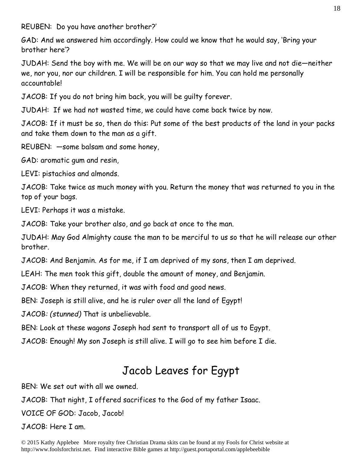REUBEN: Do you have another brother?'

GAD: And we answered him accordingly. How could we know that he would say, 'Bring your brother here'?

JUDAH: Send the boy with me. We will be on our way so that we may live and not die—neither we, nor you, nor our children. I will be responsible for him. You can hold me personally accountable!

JACOB: If you do not bring him back, you will be guilty forever.

JUDAH: If we had not wasted time, we could have come back twice by now.

JACOB: If it must be so, then do this: Put some of the best products of the land in your packs and take them down to the man as a gift.

REUBEN: —some balsam and some honey,

GAD: aromatic gum and resin,

LEVI: pistachios and almonds.

JACOB: Take twice as much money with you. Return the money that was returned to you in the top of your bags.

LEVI: Perhaps it was a mistake.

JACOB: Take your brother also, and go back at once to the man.

JUDAH: May God Almighty cause the man to be merciful to us so that he will release our other brother.

JACOB: And Benjamin. As for me, if I am deprived of my sons, then I am deprived.

LEAH: The men took this gift, double the amount of money, and Benjamin.

JACOB: When they returned, it was with food and good news.

BEN: Joseph is still alive, and he is ruler over all the land of Egypt!

JACOB*: (stunned)* That is unbelievable.

BEN: Look at these wagons Joseph had sent to transport all of us to Egypt.

JACOB: Enough! My son Joseph is still alive. I will go to see him before I die.

# Jacob Leaves for Egypt

BEN: We set out with all we owned.

JACOB: That night, I offered sacrifices to the God of my father Isaac.

VOICE OF GOD: Jacob, Jacob!

JACOB: Here I am.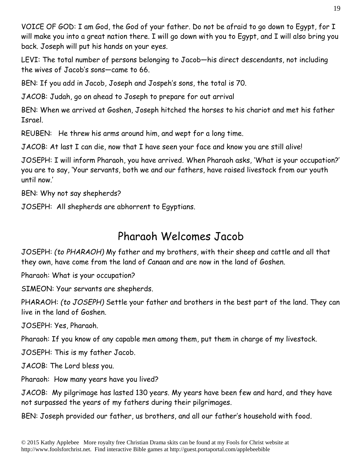VOICE OF GOD: I am God, the God of your father. Do not be afraid to go down to Egypt, for I will make you into a great nation there. I will go down with you to Egypt, and I will also bring you back. Joseph will put his hands on your eyes.

LEVI: The total number of persons belonging to Jacob—his direct descendants, not including the wives of Jacob's sons—came to 66.

BEN: If you add in Jacob, Joseph and Jospeh's sons, the total is 70.

JACOB: Judah, go on ahead to Joseph to prepare for out arrival

BEN: When we arrived at Goshen, Joseph hitched the horses to his chariot and met his father Israel.

REUBEN: He threw his arms around him, and wept for a long time.

JACOB: At last I can die, now that I have seen your face and know you are still alive!

JOSEPH: I will inform Pharaoh, you have arrived. When Pharaoh asks, 'What is your occupation?' you are to say, 'Your servants, both we and our fathers, have raised livestock from our youth until now.'

BEN: Why not say shepherds?

JOSEPH: All shepherds are abhorrent to Egyptians.

## Pharaoh Welcomes Jacob

JOSEPH: *(to PHARAOH)* My father and my brothers, with their sheep and cattle and all that they own, have come from the land of Canaan and are now in the land of Goshen.

Pharaoh: What is your occupation?

SIMEON: Your servants are shepherds.

PHARAOH: *(to JOSEPH)* Settle your father and brothers in the best part of the land. They can live in the land of Goshen.

JOSEPH: Yes, Pharaoh.

Pharaoh: If you know of any capable men among them, put them in charge of my livestock.

JOSEPH: This is my father Jacob.

JACOB: The Lord bless you.

Pharaoh: How many years have you lived?

JACOB: My pilgrimage has lasted 130 years. My years have been few and hard, and they have not surpassed the years of my fathers during their pilgrimages.

BEN: Joseph provided our father, us brothers, and all our father's household with food.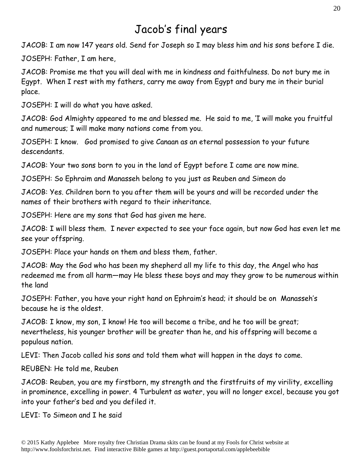## Jacob's final years

JACOB: I am now 147 years old. Send for Joseph so I may bless him and his sons before I die.

JOSEPH: Father, I am here,

JACOB: Promise me that you will deal with me in kindness and faithfulness. Do not bury me in Egypt. When I rest with my fathers, carry me away from Egypt and bury me in their burial place.

JOSEPH: I will do what you have asked.

JACOB: God Almighty appeared to me and blessed me. He said to me, 'I will make you fruitful and numerous; I will make many nations come from you.

JOSEPH: I know. God promised to give Canaan as an eternal possession to your future descendants.

JACOB: Your two sons born to you in the land of Egypt before I came are now mine.

JOSEPH: So Ephraim and Manasseh belong to you just as Reuben and Simeon do

JACOB: Yes. Children born to you after them will be yours and will be recorded under the names of their brothers with regard to their inheritance.

JOSEPH: Here are my sons that God has given me here.

JACOB: I will bless them. I never expected to see your face again, but now God has even let me see your offspring.

JOSEPH: Place your hands on them and bless them, father.

JACOB: May the God who has been my shepherd all my life to this day, the Angel who has redeemed me from all harm—may He bless these boys and may they grow to be numerous within the land

JOSEPH: Father, you have your right hand on Ephraim's head; it should be on Manasseh's because he is the oldest.

JACOB: I know, my son, I know! He too will become a tribe, and he too will be great; nevertheless, his younger brother will be greater than he, and his offspring will become a populous nation.

LEVI: Then Jacob called his sons and told them what will happen in the days to come.

REUBEN: He told me, Reuben

JACOB: Reuben, you are my firstborn, my strength and the firstfruits of my virility, excelling in prominence, excelling in power. 4 Turbulent as water, you will no longer excel, because you got into your father's bed and you defiled it.

LEVI: To Simeon and I he said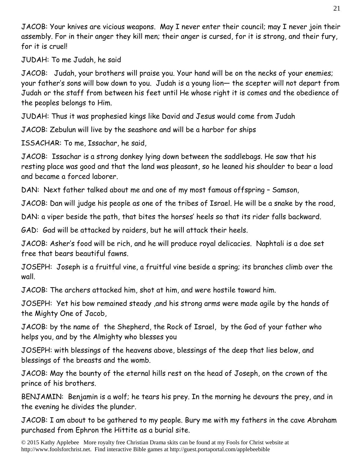JACOB: Your knives are vicious weapons. May I never enter their council; may I never join their assembly. For in their anger they kill men; their anger is cursed, for it is strong, and their fury, for it is cruel!

JUDAH: To me Judah, he said

JACOB: Judah, your brothers will praise you. Your hand will be on the necks of your enemies; your father's sons will bow down to you. Judah is a young lion— the scepter will not depart from Judah or the staff from between his feet until He whose right it is comes and the obedience of the peoples belongs to Him.

JUDAH: Thus it was prophesied kings like David and Jesus would come from Judah

JACOB: Zebulun will live by the seashore and will be a harbor for ships

ISSACHAR: To me, Issachar, he said,

JACOB: Issachar is a strong donkey lying down between the saddlebags. He saw that his resting place was good and that the land was pleasant, so he leaned his shoulder to bear a load and became a forced laborer.

DAN: Next father talked about me and one of my most famous offspring – Samson,

JACOB: Dan will judge his people as one of the tribes of Israel. He will be a snake by the road,

DAN: a viper beside the path, that bites the horses' heels so that its rider falls backward.

GAD: Gad will be attacked by raiders, but he will attack their heels.

JACOB: Asher's food will be rich, and he will produce royal delicacies. Naphtali is a doe set free that bears beautiful fawns.

JOSEPH: Joseph is a fruitful vine, a fruitful vine beside a spring; its branches climb over the wall.

JACOB: The archers attacked him, shot at him, and were hostile toward him.

JOSEPH: Yet his bow remained steady ,and his strong arms were made agile by the hands of the Mighty One of Jacob,

JACOB: by the name of the Shepherd, the Rock of Israel, by the God of your father who helps you, and by the Almighty who blesses you

JOSEPH: with blessings of the heavens above, blessings of the deep that lies below, and blessings of the breasts and the womb.

JACOB: May the bounty of the eternal hills rest on the head of Joseph, on the crown of the prince of his brothers.

BENJAMIN: Benjamin is a wolf; he tears his prey. In the morning he devours the prey, and in the evening he divides the plunder.

JACOB: I am about to be gathered to my people. Bury me with my fathers in the cave Abraham purchased from Ephron the Hittite as a burial site.